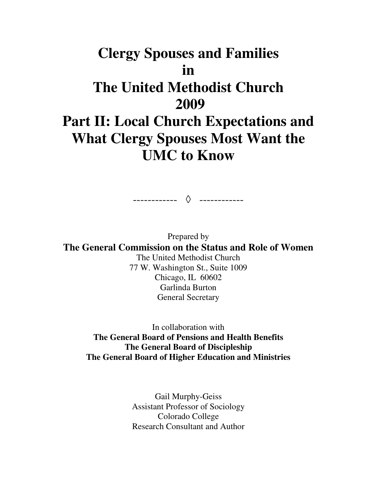# **Clergy Spouses and Families in The United Methodist Church 2009 Part II: Local Church Expectations and What Clergy Spouses Most Want the UMC to Know**

------------ ◊------------

Prepared by **The General Commission on the Status and Role of Women**  The United Methodist Church 77 W. Washington St., Suite 1009 Chicago, IL 60602

Garlinda Burton General Secretary

In collaboration with **The General Board of Pensions and Health Benefits The General Board of Discipleship The General Board of Higher Education and Ministries** 

> Gail Murphy-Geiss Assistant Professor of Sociology Colorado College Research Consultant and Author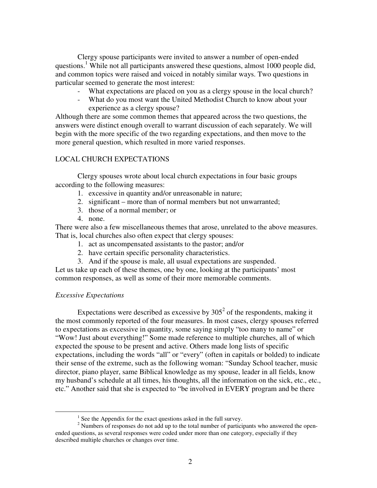Clergy spouse participants were invited to answer a number of open-ended questions.<sup>1</sup> While not all participants answered these questions, almost 1000 people did, and common topics were raised and voiced in notably similar ways. Two questions in particular seemed to generate the most interest:

- What expectations are placed on you as a clergy spouse in the local church?
- What do you most want the United Methodist Church to know about your experience as a clergy spouse?

Although there are some common themes that appeared across the two questions, the answers were distinct enough overall to warrant discussion of each separately. We will begin with the more specific of the two regarding expectations, and then move to the more general question, which resulted in more varied responses.

## LOCAL CHURCH EXPECTATIONS

Clergy spouses wrote about local church expectations in four basic groups according to the following measures:

- 1. excessive in quantity and/or unreasonable in nature;
- 2. significant more than of normal members but not unwarranted;
- 3. those of a normal member; or
- 4. none.

There were also a few miscellaneous themes that arose, unrelated to the above measures. That is, local churches also often expect that clergy spouses:

- 1. act as uncompensated assistants to the pastor; and/or
- 2. have certain specific personality characteristics.
- 3. And if the spouse is male, all usual expectations are suspended.

Let us take up each of these themes, one by one, looking at the participants' most common responses, as well as some of their more memorable comments.

## *Excessive Expectations*

 $\overline{a}$ 

Expectations were described as excessive by  $305^2$  of the respondents, making it the most commonly reported of the four measures. In most cases, clergy spouses referred to expectations as excessive in quantity, some saying simply "too many to name" or "Wow! Just about everything!" Some made reference to multiple churches, all of which expected the spouse to be present and active. Others made long lists of specific expectations, including the words "all" or "every" (often in capitals or bolded) to indicate their sense of the extreme, such as the following woman: "Sunday School teacher, music director, piano player, same Biblical knowledge as my spouse, leader in all fields, know my husband's schedule at all times, his thoughts, all the information on the sick, etc., etc., etc." Another said that she is expected to "be involved in EVERY program and be there

 $<sup>1</sup>$  See the Appendix for the exact questions asked in the full survey.</sup>

 $2$  Numbers of responses do not add up to the total number of participants who answered the openended questions, as several responses were coded under more than one category, especially if they described multiple churches or changes over time.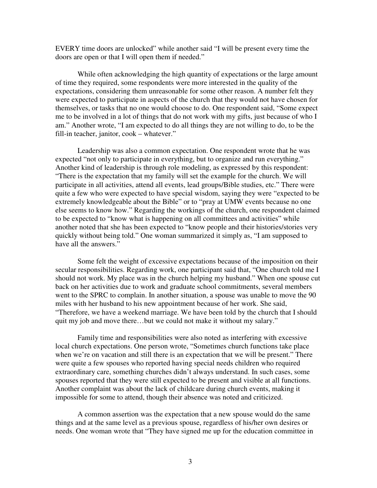EVERY time doors are unlocked" while another said "I will be present every time the doors are open or that I will open them if needed."

While often acknowledging the high quantity of expectations or the large amount of time they required, some respondents were more interested in the quality of the expectations, considering them unreasonable for some other reason. A number felt they were expected to participate in aspects of the church that they would not have chosen for themselves, or tasks that no one would choose to do. One respondent said, "Some expect me to be involved in a lot of things that do not work with my gifts, just because of who I am." Another wrote, "I am expected to do all things they are not willing to do, to be the fill-in teacher, janitor, cook – whatever."

Leadership was also a common expectation. One respondent wrote that he was expected "not only to participate in everything, but to organize and run everything." Another kind of leadership is through role modeling, as expressed by this respondent: "There is the expectation that my family will set the example for the church. We will participate in all activities, attend all events, lead groups/Bible studies, etc." There were quite a few who were expected to have special wisdom, saying they were "expected to be extremely knowledgeable about the Bible" or to "pray at UMW events because no one else seems to know how." Regarding the workings of the church, one respondent claimed to be expected to "know what is happening on all committees and activities" while another noted that she has been expected to "know people and their histories/stories very quickly without being told." One woman summarized it simply as, "I am supposed to have all the answers."

Some felt the weight of excessive expectations because of the imposition on their secular responsibilities. Regarding work, one participant said that, "One church told me I should not work. My place was in the church helping my husband." When one spouse cut back on her activities due to work and graduate school commitments, several members went to the SPRC to complain. In another situation, a spouse was unable to move the 90 miles with her husband to his new appointment because of her work. She said, "Therefore, we have a weekend marriage. We have been told by the church that I should quit my job and move there…but we could not make it without my salary."

Family time and responsibilities were also noted as interfering with excessive local church expectations. One person wrote, "Sometimes church functions take place when we're on vacation and still there is an expectation that we will be present." There were quite a few spouses who reported having special needs children who required extraordinary care, something churches didn't always understand. In such cases, some spouses reported that they were still expected to be present and visible at all functions. Another complaint was about the lack of childcare during church events, making it impossible for some to attend, though their absence was noted and criticized.

A common assertion was the expectation that a new spouse would do the same things and at the same level as a previous spouse, regardless of his/her own desires or needs. One woman wrote that "They have signed me up for the education committee in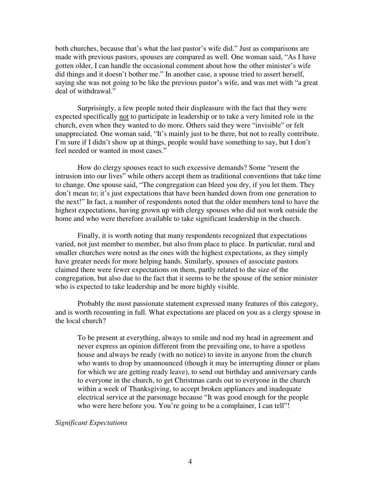both churches, because that's what the last pastor's wife did." Just as comparisons are made with previous pastors, spouses are compared as well. One woman said, "As I have gotten older, I can handle the occasional comment about how the other minister's wife did things and it doesn't bother me." In another case, a spouse tried to assert herself, saying she was not going to be like the previous pastor's wife, and was met with "a great deal of withdrawal."

Surprisingly, a few people noted their displeasure with the fact that they were expected specifically not to participate in leadership or to take a very limited role in the church, even when they wanted to do more. Others said they were "invisible" or felt unappreciated. One woman said, "It's mainly just to be there, but not to really contribute. I'm sure if I didn't show up at things, people would have something to say, but I don't feel needed or wanted in most cases."

How do clergy spouses react to such excessive demands? Some "resent the intrusion into our lives" while others accept them as traditional conventions that take time to change. One spouse said, "The congregation can bleed you dry, if you let them. They don't mean to; it's just expectations that have been handed down from one generation to the next!" In fact, a number of respondents noted that the older members tend to have the highest expectations, having grown up with clergy spouses who did not work outside the home and who were therefore available to take significant leadership in the church.

Finally, it is worth noting that many respondents recognized that expectations varied, not just member to member, but also from place to place. In particular, rural and smaller churches were noted as the ones with the highest expectations, as they simply have greater needs for more helping hands. Similarly, spouses of associate pastors claimed there were fewer expectations on them, partly related to the size of the congregation, but also due to the fact that it seems to be the spouse of the senior minister who is expected to take leadership and be more highly visible.

Probably the most passionate statement expressed many features of this category, and is worth recounting in full. What expectations are placed on you as a clergy spouse in the local church?

To be present at everything, always to smile and nod my head in agreement and never express an opinion different from the prevailing one, to have a spotless house and always be ready (with no notice) to invite in anyone from the church who wants to drop by unannounced (though it may be interrupting dinner or plans for which we are getting ready leave), to send out birthday and anniversary cards to everyone in the church, to get Christmas cards out to everyone in the church within a week of Thanksgiving, to accept broken appliances and inadequate electrical service at the parsonage because "It was good enough for the people who were here before you. You're going to be a complainer, I can tell"!

*Significant Expectations*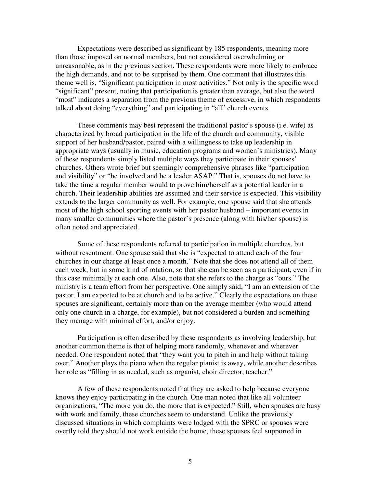Expectations were described as significant by 185 respondents, meaning more than those imposed on normal members, but not considered overwhelming or unreasonable, as in the previous section. These respondents were more likely to embrace the high demands, and not to be surprised by them. One comment that illustrates this theme well is, "Significant participation in most activities." Not only is the specific word "significant" present, noting that participation is greater than average, but also the word "most" indicates a separation from the previous theme of excessive, in which respondents talked about doing "everything" and participating in "all" church events.

These comments may best represent the traditional pastor's spouse (i.e. wife) as characterized by broad participation in the life of the church and community, visible support of her husband/pastor, paired with a willingness to take up leadership in appropriate ways (usually in music, education programs and women's ministries). Many of these respondents simply listed multiple ways they participate in their spouses' churches. Others wrote brief but seemingly comprehensive phrases like "participation and visibility" or "be involved and be a leader ASAP." That is, spouses do not have to take the time a regular member would to prove him/herself as a potential leader in a church. Their leadership abilities are assumed and their service is expected. This visibility extends to the larger community as well. For example, one spouse said that she attends most of the high school sporting events with her pastor husband – important events in many smaller communities where the pastor's presence (along with his/her spouse) is often noted and appreciated.

Some of these respondents referred to participation in multiple churches, but without resentment. One spouse said that she is "expected to attend each of the four churches in our charge at least once a month." Note that she does not attend all of them each week, but in some kind of rotation, so that she can be seen as a participant, even if in this case minimally at each one. Also, note that she refers to the charge as "ours." The ministry is a team effort from her perspective. One simply said, "I am an extension of the pastor. I am expected to be at church and to be active." Clearly the expectations on these spouses are significant, certainly more than on the average member (who would attend only one church in a charge, for example), but not considered a burden and something they manage with minimal effort, and/or enjoy.

Participation is often described by these respondents as involving leadership, but another common theme is that of helping more randomly, whenever and wherever needed. One respondent noted that "they want you to pitch in and help without taking over." Another plays the piano when the regular pianist is away, while another describes her role as "filling in as needed, such as organist, choir director, teacher."

A few of these respondents noted that they are asked to help because everyone knows they enjoy participating in the church. One man noted that like all volunteer organizations, "The more you do, the more that is expected." Still, when spouses are busy with work and family, these churches seem to understand. Unlike the previously discussed situations in which complaints were lodged with the SPRC or spouses were overtly told they should not work outside the home, these spouses feel supported in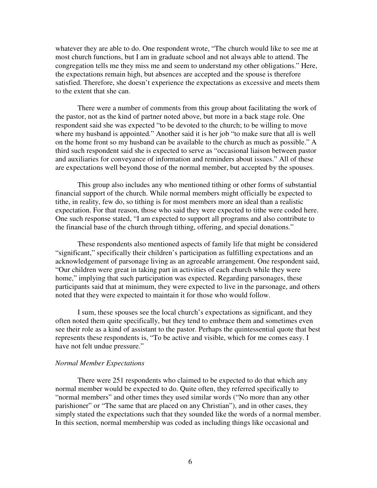whatever they are able to do. One respondent wrote, "The church would like to see me at most church functions, but I am in graduate school and not always able to attend. The congregation tells me they miss me and seem to understand my other obligations." Here, the expectations remain high, but absences are accepted and the spouse is therefore satisfied. Therefore, she doesn't experience the expectations as excessive and meets them to the extent that she can.

There were a number of comments from this group about facilitating the work of the pastor, not as the kind of partner noted above, but more in a back stage role. One respondent said she was expected "to be devoted to the church; to be willing to move where my husband is appointed." Another said it is her job "to make sure that all is well on the home front so my husband can be available to the church as much as possible." A third such respondent said she is expected to serve as "occasional liaison between pastor and auxiliaries for conveyance of information and reminders about issues." All of these are expectations well beyond those of the normal member, but accepted by the spouses.

This group also includes any who mentioned tithing or other forms of substantial financial support of the church. While normal members might officially be expected to tithe, in reality, few do, so tithing is for most members more an ideal than a realistic expectation. For that reason, those who said they were expected to tithe were coded here. One such response stated, "I am expected to support all programs and also contribute to the financial base of the church through tithing, offering, and special donations."

These respondents also mentioned aspects of family life that might be considered "significant," specifically their children's participation as fulfilling expectations and an acknowledgement of parsonage living as an agreeable arrangement. One respondent said, "Our children were great in taking part in activities of each church while they were home," implying that such participation was expected. Regarding parsonages, these participants said that at minimum, they were expected to live in the parsonage, and others noted that they were expected to maintain it for those who would follow.

I sum, these spouses see the local church's expectations as significant, and they often noted them quite specifically, but they tend to embrace them and sometimes even see their role as a kind of assistant to the pastor. Perhaps the quintessential quote that best represents these respondents is, "To be active and visible, which for me comes easy. I have not felt undue pressure."

## *Normal Member Expectations*

There were 251 respondents who claimed to be expected to do that which any normal member would be expected to do. Quite often, they referred specifically to "normal members" and other times they used similar words ("No more than any other parishioner" or "The same that are placed on any Christian"), and in other cases, they simply stated the expectations such that they sounded like the words of a normal member. In this section, normal membership was coded as including things like occasional and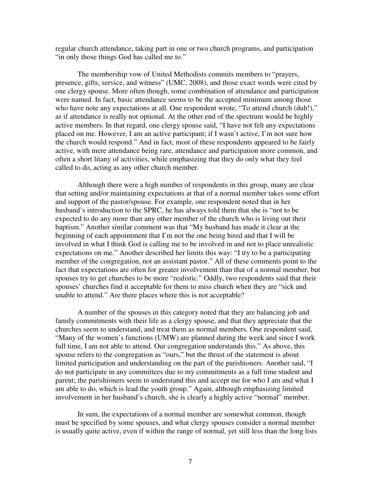regular church attendance, taking part in one or two church programs, and participation "in only those things God has called me to."

The membership vow of United Methodists commits members to "prayers, presence, gifts, service, and witness" (UMC, 2008), and those exact words were cited by one clergy spouse. More often though, some combination of attendance and participation were named. In fact, basic attendance seems to be the accepted minimum among those who have note any expectations at all. One respondent wrote, "To attend church (duh!)," as if attendance is really not optional. At the other end of the spectrum would be highly active members. In that regard, one clergy spouse said, "I have not felt any expectations placed on me. However, I am an active participant; if I wasn't active, I'm not sure how the church would respond." And in fact, most of these respondents appeared to be fairly active, with mere attendance being rare, attendance and participation more common, and often a short litany of activities, while emphasizing that they do only what they feel called to do, acting as any other church member.

Although there were a high number of respondents in this group, many are clear that setting and/or maintaining expectations at that of a normal member takes some effort and support of the pastor/spouse. For example, one respondent noted that in her husband's introduction to the SPRC, he has always told them that she is "not to be expected to do any more than any other member of the church who is living out their baptism." Another similar comment was that "My husband has made it clear at the beginning of each appointment that I'm not the one being hired and that I will be involved in what I think God is calling me to be involved in and not to place unrealistic expectations on me." Another described her limits this way: "I try to be a participating member of the congregation, not an assistant pastor." All of these comments point to the fact that expectations are often for greater involvement than that of a normal member, but spouses try to get churches to be more "realistic." Oddly, two respondents said that their spouses' churches find it acceptable for them to miss church when they are "sick and unable to attend." Are there places where this is not acceptable?

A number of the spouses in this category noted that they are balancing job and family commitments with their life as a clergy spouse, and that they appreciate that the churches seem to understand, and treat them as normal members. One respondent said, "Many of the women's functions (UMW) are planned during the week and since I work full time, I am not able to attend. Our congregation understands this." As above, this spouse refers to the congregation as "ours," but the thrust of the statement is about limited participation and understanding on the part of the parishioners. Another said, "I do not participate in any committees due to my commitments as a full time student and parent; the parishioners seem to understand this and accept me for who I am and what I am able to do, which is lead the youth group." Again, although emphasizing limited involvement in her husband's church, she is clearly a highly active "normal" member.

In sum, the expectations of a normal member are somewhat common, though must be specified by some spouses, and what clergy spouses consider a normal member is usually quite active, even if within the range of normal, yet still less than the long lists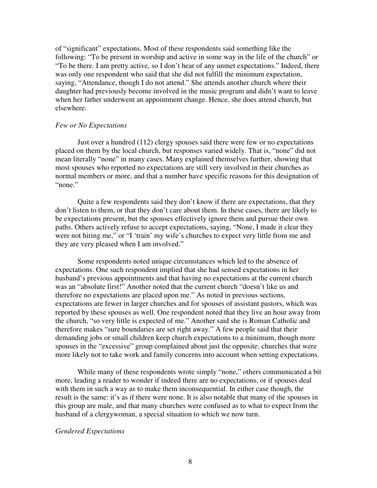of "significant" expectations. Most of these respondents said something like the following: "To be present in worship and active in some way in the life of the church" or "To be there. I am pretty active, so I don't hear of any unmet expectations." Indeed, there was only one respondent who said that she did not fulfill the minimum expectation, saying, "Attendance, though I do not attend." She attends another church where their daughter had previously become involved in the music program and didn't want to leave when her father underwent an appointment change. Hence, she does attend church, but elsewhere.

## *Few or No Expectations*

Just over a hundred (112) clergy spouses said there were few or no expectations placed on them by the local church, but responses varied widely. That is, "none" did not mean literally "none" in many cases. Many explained themselves further, showing that most spouses who reported no expectations are still very involved in their churches as normal members or more, and that a number have specific reasons for this designation of "none."

Quite a few respondents said they don't know if there are expectations, that they don't listen to them, or that they don't care about them. In these cases, there are likely to be expectations present, but the spouses effectively ignore them and pursue their own paths. Others actively refuse to accept expectations, saying, "None, I made it clear they were not hiring me," or "I 'train' my wife's churches to expect very little from me and they are very pleased when I am involved."

Some respondents noted unique circumstances which led to the absence of expectations. One such respondent implied that she had sensed expectations in her husband's previous appointments and that having no expectations at the current church was an "absolute first!" Another noted that the current church "doesn't like us and therefore no expectations are placed upon me." As noted in previous sections, expectations are fewer in larger churches and for spouses of assistant pastors, which was reported by these spouses as well. One respondent noted that they live an hour away from the church, "so very little is expected of me." Another said she is Roman Catholic and therefore makes "sure boundaries are set right away." A few people said that their demanding jobs or small children keep church expectations to a minimum, though more spouses in the "excessive" group complained about just the opposite: churches that were more likely not to take work and family concerns into account when setting expectations.

While many of these respondents wrote simply "none," others communicated a bit more, leading a reader to wonder if indeed there are no expectations, or if spouses deal with them in such a way as to make them inconsequential. In either case though, the result is the same: it's as if there were none. It is also notable that many of the spouses in this group are male, and that many churches were confused as to what to expect from the husband of a clergywoman, a special situation to which we now turn.

## *Gendered Expectations*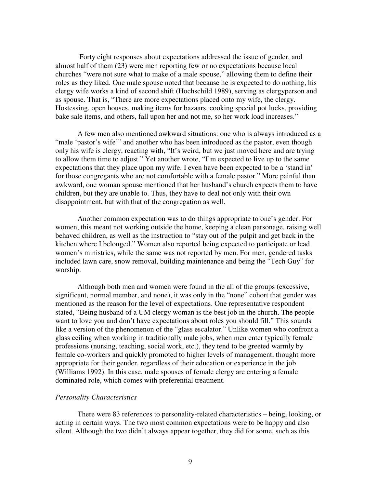Forty eight responses about expectations addressed the issue of gender, and almost half of them (23) were men reporting few or no expectations because local churches "were not sure what to make of a male spouse," allowing them to define their roles as they liked. One male spouse noted that because he is expected to do nothing, his clergy wife works a kind of second shift (Hochschild 1989), serving as clergyperson and as spouse. That is, "There are more expectations placed onto my wife, the clergy. Hostessing, open houses, making items for bazaars, cooking special pot lucks, providing bake sale items, and others, fall upon her and not me, so her work load increases."

A few men also mentioned awkward situations: one who is always introduced as a "male 'pastor's wife'" and another who has been introduced as the pastor, even though only his wife is clergy, reacting with, "It's weird, but we just moved here and are trying to allow them time to adjust." Yet another wrote, "I'm expected to live up to the same expectations that they place upon my wife. I even have been expected to be a 'stand in' for those congregants who are not comfortable with a female pastor." More painful than awkward, one woman spouse mentioned that her husband's church expects them to have children, but they are unable to. Thus, they have to deal not only with their own disappointment, but with that of the congregation as well.

Another common expectation was to do things appropriate to one's gender. For women, this meant not working outside the home, keeping a clean parsonage, raising well behaved children, as well as the instruction to "stay out of the pulpit and get back in the kitchen where I belonged." Women also reported being expected to participate or lead women's ministries, while the same was not reported by men. For men, gendered tasks included lawn care, snow removal, building maintenance and being the "Tech Guy" for worship.

Although both men and women were found in the all of the groups (excessive, significant, normal member, and none), it was only in the "none" cohort that gender was mentioned as the reason for the level of expectations. One representative respondent stated, "Being husband of a UM clergy woman is the best job in the church. The people want to love you and don't have expectations about roles you should fill." This sounds like a version of the phenomenon of the "glass escalator." Unlike women who confront a glass ceiling when working in traditionally male jobs, when men enter typically female professions (nursing, teaching, social work, etc.), they tend to be greeted warmly by female co-workers and quickly promoted to higher levels of management, thought more appropriate for their gender, regardless of their education or experience in the job (Williams 1992). In this case, male spouses of female clergy are entering a female dominated role, which comes with preferential treatment.

## *Personality Characteristics*

There were 83 references to personality-related characteristics – being, looking, or acting in certain ways. The two most common expectations were to be happy and also silent. Although the two didn't always appear together, they did for some, such as this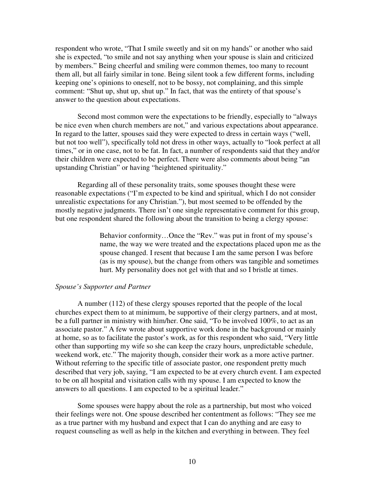respondent who wrote, "That I smile sweetly and sit on my hands" or another who said she is expected, "to smile and not say anything when your spouse is slain and criticized by members." Being cheerful and smiling were common themes, too many to recount them all, but all fairly similar in tone. Being silent took a few different forms, including keeping one's opinions to oneself, not to be bossy, not complaining, and this simple comment: "Shut up, shut up, shut up." In fact, that was the entirety of that spouse's answer to the question about expectations.

Second most common were the expectations to be friendly, especially to "always be nice even when church members are not," and various expectations about appearance. In regard to the latter, spouses said they were expected to dress in certain ways ("well, but not too well"), specifically told not dress in other ways, actually to "look perfect at all times," or in one case, not to be fat. In fact, a number of respondents said that they and/or their children were expected to be perfect. There were also comments about being "an upstanding Christian" or having "heightened spirituality."

Regarding all of these personality traits, some spouses thought these were reasonable expectations ("I'm expected to be kind and spiritual, which I do not consider unrealistic expectations for any Christian."), but most seemed to be offended by the mostly negative judgments. There isn't one single representative comment for this group, but one respondent shared the following about the transition to being a clergy spouse:

> Behavior conformity…Once the "Rev." was put in front of my spouse's name, the way we were treated and the expectations placed upon me as the spouse changed. I resent that because I am the same person I was before (as is my spouse), but the change from others was tangible and sometimes hurt. My personality does not gel with that and so I bristle at times.

## *Spouse's Supporter and Partner*

 A number (112) of these clergy spouses reported that the people of the local churches expect them to at minimum, be supportive of their clergy partners, and at most, be a full partner in ministry with him/her. One said, "To be involved 100%, to act as an associate pastor." A few wrote about supportive work done in the background or mainly at home, so as to facilitate the pastor's work, as for this respondent who said, "Very little other than supporting my wife so she can keep the crazy hours, unpredictable schedule, weekend work, etc." The majority though, consider their work as a more active partner. Without referring to the specific title of associate pastor, one respondent pretty much described that very job, saying, "I am expected to be at every church event. I am expected to be on all hospital and visitation calls with my spouse. I am expected to know the answers to all questions. I am expected to be a spiritual leader."

 Some spouses were happy about the role as a partnership, but most who voiced their feelings were not. One spouse described her contentment as follows: "They see me as a true partner with my husband and expect that I can do anything and are easy to request counseling as well as help in the kitchen and everything in between. They feel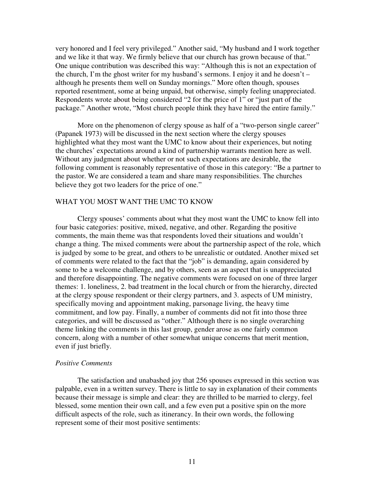very honored and I feel very privileged." Another said, "My husband and I work together and we like it that way. We firmly believe that our church has grown because of that." One unique contribution was described this way: "Although this is not an expectation of the church, I'm the ghost writer for my husband's sermons. I enjoy it and he doesn't  $$ although he presents them well on Sunday mornings." More often though, spouses reported resentment, some at being unpaid, but otherwise, simply feeling unappreciated. Respondents wrote about being considered "2 for the price of 1" or "just part of the package." Another wrote, "Most church people think they have hired the entire family."

More on the phenomenon of clergy spouse as half of a "two-person single career" (Papanek 1973) will be discussed in the next section where the clergy spouses highlighted what they most want the UMC to know about their experiences, but noting the churches' expectations around a kind of partnership warrants mention here as well. Without any judgment about whether or not such expectations are desirable, the following comment is reasonably representative of those in this category: "Be a partner to the pastor. We are considered a team and share many responsibilities. The churches believe they got two leaders for the price of one."

## WHAT YOU MOST WANT THE UMC TO KNOW

 Clergy spouses' comments about what they most want the UMC to know fell into four basic categories: positive, mixed, negative, and other. Regarding the positive comments, the main theme was that respondents loved their situations and wouldn't change a thing. The mixed comments were about the partnership aspect of the role, which is judged by some to be great, and others to be unrealistic or outdated. Another mixed set of comments were related to the fact that the "job" is demanding, again considered by some to be a welcome challenge, and by others, seen as an aspect that is unappreciated and therefore disappointing. The negative comments were focused on one of three larger themes: 1. loneliness, 2. bad treatment in the local church or from the hierarchy, directed at the clergy spouse respondent or their clergy partners, and 3. aspects of UM ministry, specifically moving and appointment making, parsonage living, the heavy time commitment, and low pay. Finally, a number of comments did not fit into those three categories, and will be discussed as "other." Although there is no single overarching theme linking the comments in this last group, gender arose as one fairly common concern, along with a number of other somewhat unique concerns that merit mention, even if just briefly.

## *Positive Comments*

 The satisfaction and unabashed joy that 256 spouses expressed in this section was palpable, even in a written survey. There is little to say in explanation of their comments because their message is simple and clear: they are thrilled to be married to clergy, feel blessed, some mention their own call, and a few even put a positive spin on the more difficult aspects of the role, such as itinerancy. In their own words, the following represent some of their most positive sentiments: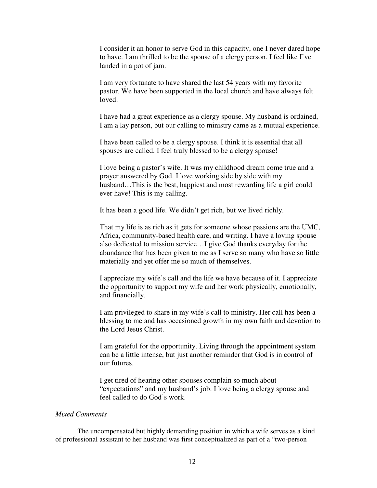I consider it an honor to serve God in this capacity, one I never dared hope to have. I am thrilled to be the spouse of a clergy person. I feel like I've landed in a pot of jam.

I am very fortunate to have shared the last 54 years with my favorite pastor. We have been supported in the local church and have always felt loved.

I have had a great experience as a clergy spouse. My husband is ordained, I am a lay person, but our calling to ministry came as a mutual experience.

I have been called to be a clergy spouse. I think it is essential that all spouses are called. I feel truly blessed to be a clergy spouse!

I love being a pastor's wife. It was my childhood dream come true and a prayer answered by God. I love working side by side with my husband...This is the best, happiest and most rewarding life a girl could ever have! This is my calling.

It has been a good life. We didn't get rich, but we lived richly.

That my life is as rich as it gets for someone whose passions are the UMC, Africa, community-based health care, and writing. I have a loving spouse also dedicated to mission service…I give God thanks everyday for the abundance that has been given to me as I serve so many who have so little materially and yet offer me so much of themselves.

I appreciate my wife's call and the life we have because of it. I appreciate the opportunity to support my wife and her work physically, emotionally, and financially.

I am privileged to share in my wife's call to ministry. Her call has been a blessing to me and has occasioned growth in my own faith and devotion to the Lord Jesus Christ.

I am grateful for the opportunity. Living through the appointment system can be a little intense, but just another reminder that God is in control of our futures.

I get tired of hearing other spouses complain so much about "expectations" and my husband's job. I love being a clergy spouse and feel called to do God's work.

## *Mixed Comments*

The uncompensated but highly demanding position in which a wife serves as a kind of professional assistant to her husband was first conceptualized as part of a "two-person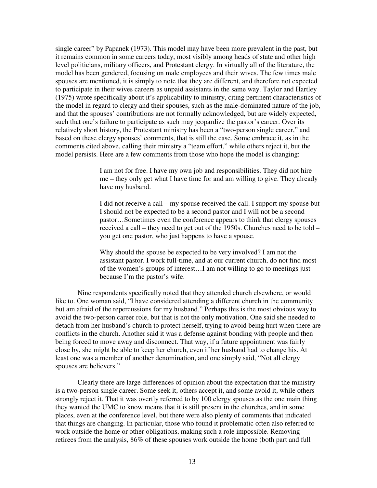single career" by Papanek (1973). This model may have been more prevalent in the past, but it remains common in some careers today, most visibly among heads of state and other high level politicians, military officers, and Protestant clergy. In virtually all of the literature, the model has been gendered, focusing on male employees and their wives. The few times male spouses are mentioned, it is simply to note that they are different, and therefore not expected to participate in their wives careers as unpaid assistants in the same way. Taylor and Hartley (1975) wrote specifically about it's applicability to ministry, citing pertinent characteristics of the model in regard to clergy and their spouses, such as the male-dominated nature of the job, and that the spouses' contributions are not formally acknowledged, but are widely expected, such that one's failure to participate as such may jeopardize the pastor's career. Over its relatively short history, the Protestant ministry has been a "two-person single career," and based on these clergy spouses' comments, that is still the case. Some embrace it, as in the comments cited above, calling their ministry a "team effort," while others reject it, but the model persists. Here are a few comments from those who hope the model is changing:

> I am not for free. I have my own job and responsibilities. They did not hire me – they only get what I have time for and am willing to give. They already have my husband.

> I did not receive a call – my spouse received the call. I support my spouse but I should not be expected to be a second pastor and I will not be a second pastor…Sometimes even the conference appears to think that clergy spouses received a call – they need to get out of the 1950s. Churches need to be told – you get one pastor, who just happens to have a spouse.

Why should the spouse be expected to be very involved? I am not the assistant pastor. I work full-time, and at our current church, do not find most of the women's groups of interest…I am not willing to go to meetings just because I'm the pastor's wife.

Nine respondents specifically noted that they attended church elsewhere, or would like to. One woman said, "I have considered attending a different church in the community but am afraid of the repercussions for my husband." Perhaps this is the most obvious way to avoid the two-person career role, but that is not the only motivation. One said she needed to detach from her husband's church to protect herself, trying to avoid being hurt when there are conflicts in the church. Another said it was a defense against bonding with people and then being forced to move away and disconnect. That way, if a future appointment was fairly close by, she might be able to keep her church, even if her husband had to change his. At least one was a member of another denomination, and one simply said, "Not all clergy spouses are believers."

Clearly there are large differences of opinion about the expectation that the ministry is a two-person single career. Some seek it, others accept it, and some avoid it, while others strongly reject it. That it was overtly referred to by 100 clergy spouses as the one main thing they wanted the UMC to know means that it is still present in the churches, and in some places, even at the conference level, but there were also plenty of comments that indicated that things are changing. In particular, those who found it problematic often also referred to work outside the home or other obligations, making such a role impossible. Removing retirees from the analysis, 86% of these spouses work outside the home (both part and full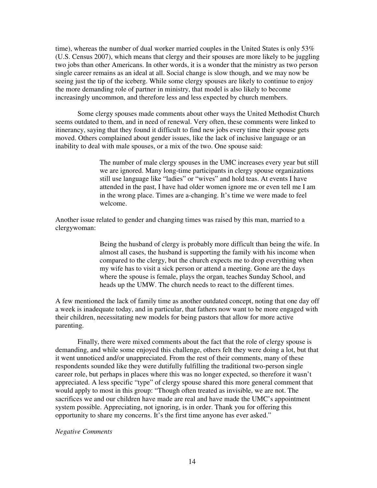time), whereas the number of dual worker married couples in the United States is only  $53\%$ (U.S. Census 2007), which means that clergy and their spouses are more likely to be juggling two jobs than other Americans. In other words, it is a wonder that the ministry as two person single career remains as an ideal at all. Social change is slow though, and we may now be seeing just the tip of the iceberg. While some clergy spouses are likely to continue to enjoy the more demanding role of partner in ministry, that model is also likely to become increasingly uncommon, and therefore less and less expected by church members.

Some clergy spouses made comments about other ways the United Methodist Church seems outdated to them, and in need of renewal. Very often, these comments were linked to itinerancy, saying that they found it difficult to find new jobs every time their spouse gets moved. Others complained about gender issues, like the lack of inclusive language or an inability to deal with male spouses, or a mix of the two. One spouse said:

> The number of male clergy spouses in the UMC increases every year but still we are ignored. Many long-time participants in clergy spouse organizations still use language like "ladies" or "wives" and hold teas. At events I have attended in the past, I have had older women ignore me or even tell me I am in the wrong place. Times are a-changing. It's time we were made to feel welcome.

Another issue related to gender and changing times was raised by this man, married to a clergywoman:

> Being the husband of clergy is probably more difficult than being the wife. In almost all cases, the husband is supporting the family with his income when compared to the clergy, but the church expects me to drop everything when my wife has to visit a sick person or attend a meeting. Gone are the days where the spouse is female, plays the organ, teaches Sunday School, and heads up the UMW. The church needs to react to the different times.

A few mentioned the lack of family time as another outdated concept, noting that one day off a week is inadequate today, and in particular, that fathers now want to be more engaged with their children, necessitating new models for being pastors that allow for more active parenting.

 Finally, there were mixed comments about the fact that the role of clergy spouse is demanding, and while some enjoyed this challenge, others felt they were doing a lot, but that it went unnoticed and/or unappreciated. From the rest of their comments, many of these respondents sounded like they were dutifully fulfilling the traditional two-person single career role, but perhaps in places where this was no longer expected, so therefore it wasn't appreciated. A less specific "type" of clergy spouse shared this more general comment that would apply to most in this group: "Though often treated as invisible, we are not. The sacrifices we and our children have made are real and have made the UMC's appointment system possible. Appreciating, not ignoring, is in order. Thank you for offering this opportunity to share my concerns. It's the first time anyone has ever asked."

## *Negative Comments*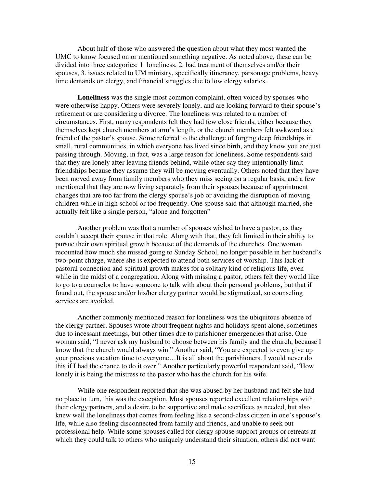About half of those who answered the question about what they most wanted the UMC to know focused on or mentioned something negative. As noted above, these can be divided into three categories: 1. loneliness, 2. bad treatment of themselves and/or their spouses, 3. issues related to UM ministry, specifically itinerancy, parsonage problems, heavy time demands on clergy, and financial struggles due to low clergy salaries.

**Loneliness** was the single most common complaint, often voiced by spouses who were otherwise happy. Others were severely lonely, and are looking forward to their spouse's retirement or are considering a divorce. The loneliness was related to a number of circumstances. First, many respondents felt they had few close friends, either because they themselves kept church members at arm's length, or the church members felt awkward as a friend of the pastor's spouse. Some referred to the challenge of forging deep friendships in small, rural communities, in which everyone has lived since birth, and they know you are just passing through. Moving, in fact, was a large reason for loneliness. Some respondents said that they are lonely after leaving friends behind, while other say they intentionally limit friendships because they assume they will be moving eventually. Others noted that they have been moved away from family members who they miss seeing on a regular basis, and a few mentioned that they are now living separately from their spouses because of appointment changes that are too far from the clergy spouse's job or avoiding the disruption of moving children while in high school or too frequently. One spouse said that although married, she actually felt like a single person, "alone and forgotten"

 Another problem was that a number of spouses wished to have a pastor, as they couldn't accept their spouse in that role. Along with that, they felt limited in their ability to pursue their own spiritual growth because of the demands of the churches. One woman recounted how much she missed going to Sunday School, no longer possible in her husband's two-point charge, where she is expected to attend both services of worship. This lack of pastoral connection and spiritual growth makes for a solitary kind of religious life, even while in the midst of a congregation. Along with missing a pastor, others felt they would like to go to a counselor to have someone to talk with about their personal problems, but that if found out, the spouse and/or his/her clergy partner would be stigmatized, so counseling services are avoided.

 Another commonly mentioned reason for loneliness was the ubiquitous absence of the clergy partner. Spouses wrote about frequent nights and holidays spent alone, sometimes due to incessant meetings, but other times due to parishioner emergencies that arise. One woman said, "I never ask my husband to choose between his family and the church, because I know that the church would always win." Another said, "You are expected to even give up your precious vacation time to everyone…It is all about the parishioners. I would never do this if I had the chance to do it over." Another particularly powerful respondent said, "How lonely it is being the mistress to the pastor who has the church for his wife.

While one respondent reported that she was abused by her husband and felt she had no place to turn, this was the exception. Most spouses reported excellent relationships with their clergy partners, and a desire to be supportive and make sacrifices as needed, but also knew well the loneliness that comes from feeling like a second-class citizen in one's spouse's life, while also feeling disconnected from family and friends, and unable to seek out professional help. While some spouses called for clergy spouse support groups or retreats at which they could talk to others who uniquely understand their situation, others did not want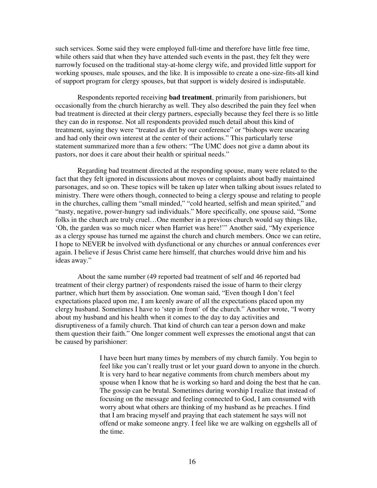such services. Some said they were employed full-time and therefore have little free time, while others said that when they have attended such events in the past, they felt they were narrowly focused on the traditional stay-at-home clergy wife, and provided little support for working spouses, male spouses, and the like. It is impossible to create a one-size-fits-all kind of support program for clergy spouses, but that support is widely desired is indisputable.

 Respondents reported receiving **bad treatment**, primarily from parishioners, but occasionally from the church hierarchy as well. They also described the pain they feel when bad treatment is directed at their clergy partners, especially because they feel there is so little they can do in response. Not all respondents provided much detail about this kind of treatment, saying they were "treated as dirt by our conference" or "bishops were uncaring and had only their own interest at the center of their actions." This particularly terse statement summarized more than a few others: "The UMC does not give a damn about its pastors, nor does it care about their health or spiritual needs."

 Regarding bad treatment directed at the responding spouse, many were related to the fact that they felt ignored in discussions about moves or complaints about badly maintained parsonages, and so on. These topics will be taken up later when talking about issues related to ministry. There were others though, connected to being a clergy spouse and relating to people in the churches, calling them "small minded," "cold hearted, selfish and mean spirited," and "nasty, negative, power-hungry sad individuals." More specifically, one spouse said, "Some folks in the church are truly cruel…One member in a previous church would say things like, 'Oh, the garden was so much nicer when Harriet was here!'" Another said, "My experience as a clergy spouse has turned me against the church and church members. Once we can retire, I hope to NEVER be involved with dysfunctional or any churches or annual conferences ever again. I believe if Jesus Christ came here himself, that churches would drive him and his ideas away."

 About the same number (49 reported bad treatment of self and 46 reported bad treatment of their clergy partner) of respondents raised the issue of harm to their clergy partner, which hurt them by association. One woman said, "Even though I don't feel expectations placed upon me, I am keenly aware of all the expectations placed upon my clergy husband. Sometimes I have to 'step in front' of the church." Another wrote, "I worry about my husband and his health when it comes to the day to day activities and disruptiveness of a family church. That kind of church can tear a person down and make them question their faith." One longer comment well expresses the emotional angst that can be caused by parishioner:

> I have been hurt many times by members of my church family. You begin to feel like you can't really trust or let your guard down to anyone in the church. It is very hard to hear negative comments from church members about my spouse when I know that he is working so hard and doing the best that he can. The gossip can be brutal. Sometimes during worship I realize that instead of focusing on the message and feeling connected to God, I am consumed with worry about what others are thinking of my husband as he preaches. I find that I am bracing myself and praying that each statement he says will not offend or make someone angry. I feel like we are walking on eggshells all of the time.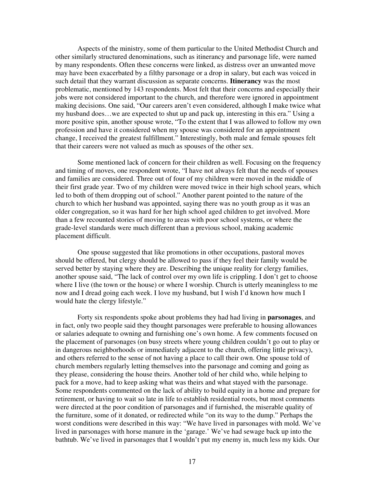Aspects of the ministry, some of them particular to the United Methodist Church and other similarly structured denominations, such as itinerancy and parsonage life, were named by many respondents. Often these concerns were linked, as distress over an unwanted move may have been exacerbated by a filthy parsonage or a drop in salary, but each was voiced in such detail that they warrant discussion as separate concerns. **Itinerancy** was the most problematic, mentioned by 143 respondents. Most felt that their concerns and especially their jobs were not considered important to the church, and therefore were ignored in appointment making decisions. One said, "Our careers aren't even considered, although I make twice what my husband does…we are expected to shut up and pack up, interesting in this era." Using a more positive spin, another spouse wrote, "To the extent that I was allowed to follow my own profession and have it considered when my spouse was considered for an appointment change, I received the greatest fulfillment." Interestingly, both male and female spouses felt that their careers were not valued as much as spouses of the other sex.

 Some mentioned lack of concern for their children as well. Focusing on the frequency and timing of moves, one respondent wrote, "I have not always felt that the needs of spouses and families are considered. Three out of four of my children were moved in the middle of their first grade year. Two of my children were moved twice in their high school years, which led to both of them dropping out of school." Another parent pointed to the nature of the church to which her husband was appointed, saying there was no youth group as it was an older congregation, so it was hard for her high school aged children to get involved. More than a few recounted stories of moving to areas with poor school systems, or where the grade-level standards were much different than a previous school, making academic placement difficult.

 One spouse suggested that like promotions in other occupations, pastoral moves should be offered, but clergy should be allowed to pass if they feel their family would be served better by staying where they are. Describing the unique reality for clergy families, another spouse said, "The lack of control over my own life is crippling. I don't get to choose where I live (the town or the house) or where I worship. Church is utterly meaningless to me now and I dread going each week. I love my husband, but I wish I'd known how much I would hate the clergy lifestyle."

 Forty six respondents spoke about problems they had had living in **parsonages**, and in fact, only two people said they thought parsonages were preferable to housing allowances or salaries adequate to owning and furnishing one's own home. A few comments focused on the placement of parsonages (on busy streets where young children couldn't go out to play or in dangerous neighborhoods or immediately adjacent to the church, offering little privacy), and others referred to the sense of not having a place to call their own. One spouse told of church members regularly letting themselves into the parsonage and coming and going as they please, considering the house theirs. Another told of her child who, while helping to pack for a move, had to keep asking what was theirs and what stayed with the parsonage. Some respondents commented on the lack of ability to build equity in a home and prepare for retirement, or having to wait so late in life to establish residential roots, but most comments were directed at the poor condition of parsonages and if furnished, the miserable quality of the furniture, some of it donated, or redirected while "on its way to the dump." Perhaps the worst conditions were described in this way: "We have lived in parsonages with mold. We've lived in parsonages with horse manure in the 'garage.' We've had sewage back up into the bathtub. We've lived in parsonages that I wouldn't put my enemy in, much less my kids. Our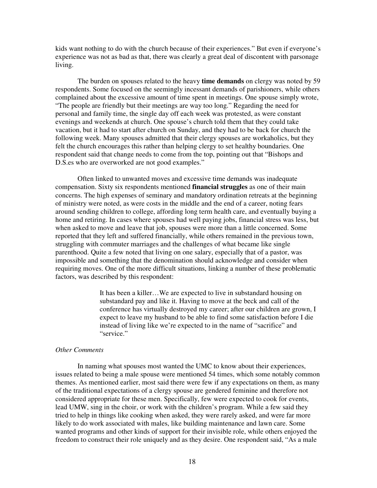kids want nothing to do with the church because of their experiences." But even if everyone's experience was not as bad as that, there was clearly a great deal of discontent with parsonage living.

 The burden on spouses related to the heavy **time demands** on clergy was noted by 59 respondents. Some focused on the seemingly incessant demands of parishioners, while others complained about the excessive amount of time spent in meetings. One spouse simply wrote, "The people are friendly but their meetings are way too long." Regarding the need for personal and family time, the single day off each week was protested, as were constant evenings and weekends at church. One spouse's church told them that they could take vacation, but it had to start after church on Sunday, and they had to be back for church the following week. Many spouses admitted that their clergy spouses are workaholics, but they felt the church encourages this rather than helping clergy to set healthy boundaries. One respondent said that change needs to come from the top, pointing out that "Bishops and D.S.es who are overworked are not good examples."

 Often linked to unwanted moves and excessive time demands was inadequate compensation. Sixty six respondents mentioned **financial struggles** as one of their main concerns. The high expenses of seminary and mandatory ordination retreats at the beginning of ministry were noted, as were costs in the middle and the end of a career, noting fears around sending children to college, affording long term health care, and eventually buying a home and retiring. In cases where spouses had well paying jobs, financial stress was less, but when asked to move and leave that job, spouses were more than a little concerned. Some reported that they left and suffered financially, while others remained in the previous town, struggling with commuter marriages and the challenges of what became like single parenthood. Quite a few noted that living on one salary, especially that of a pastor, was impossible and something that the denomination should acknowledge and consider when requiring moves. One of the more difficult situations, linking a number of these problematic factors, was described by this respondent:

> It has been a killer…We are expected to live in substandard housing on substandard pay and like it. Having to move at the beck and call of the conference has virtually destroyed my career; after our children are grown, I expect to leave my husband to be able to find some satisfaction before I die instead of living like we're expected to in the name of "sacrifice" and "service."

## *Other Comments*

 In naming what spouses most wanted the UMC to know about their experiences, issues related to being a male spouse were mentioned 54 times, which some notably common themes. As mentioned earlier, most said there were few if any expectations on them, as many of the traditional expectations of a clergy spouse are gendered feminine and therefore not considered appropriate for these men. Specifically, few were expected to cook for events, lead UMW, sing in the choir, or work with the children's program. While a few said they tried to help in things like cooking when asked, they were rarely asked, and were far more likely to do work associated with males, like building maintenance and lawn care. Some wanted programs and other kinds of support for their invisible role, while others enjoyed the freedom to construct their role uniquely and as they desire. One respondent said, "As a male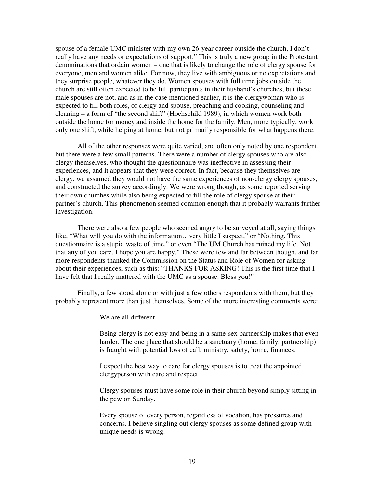spouse of a female UMC minister with my own 26-year career outside the church, I don't really have any needs or expectations of support." This is truly a new group in the Protestant denominations that ordain women – one that is likely to change the role of clergy spouse for everyone, men and women alike. For now, they live with ambiguous or no expectations and they surprise people, whatever they do. Women spouses with full time jobs outside the church are still often expected to be full participants in their husband's churches, but these male spouses are not, and as in the case mentioned earlier, it is the clergywoman who is expected to fill both roles, of clergy and spouse, preaching and cooking, counseling and cleaning – a form of "the second shift" (Hochschild 1989), in which women work both outside the home for money and inside the home for the family. Men, more typically, work only one shift, while helping at home, but not primarily responsible for what happens there.

 All of the other responses were quite varied, and often only noted by one respondent, but there were a few small patterns. There were a number of clergy spouses who are also clergy themselves, who thought the questionnaire was ineffective in assessing their experiences, and it appears that they were correct. In fact, because they themselves are clergy, we assumed they would not have the same experiences of non-clergy clergy spouses, and constructed the survey accordingly. We were wrong though, as some reported serving their own churches while also being expected to fill the role of clergy spouse at their partner's church. This phenomenon seemed common enough that it probably warrants further investigation.

 There were also a few people who seemed angry to be surveyed at all, saying things like, "What will you do with the information…very little I suspect," or "Nothing. This questionnaire is a stupid waste of time," or even "The UM Church has ruined my life. Not that any of you care. I hope you are happy." These were few and far between though, and far more respondents thanked the Commission on the Status and Role of Women for asking about their experiences, such as this: "THANKS FOR ASKING! This is the first time that I have felt that I really mattered with the UMC as a spouse. Bless you!"

Finally, a few stood alone or with just a few others respondents with them, but they probably represent more than just themselves. Some of the more interesting comments were:

We are all different.

Being clergy is not easy and being in a same-sex partnership makes that even harder. The one place that should be a sanctuary (home, family, partnership) is fraught with potential loss of call, ministry, safety, home, finances.

I expect the best way to care for clergy spouses is to treat the appointed clergyperson with care and respect.

Clergy spouses must have some role in their church beyond simply sitting in the pew on Sunday.

Every spouse of every person, regardless of vocation, has pressures and concerns. I believe singling out clergy spouses as some defined group with unique needs is wrong.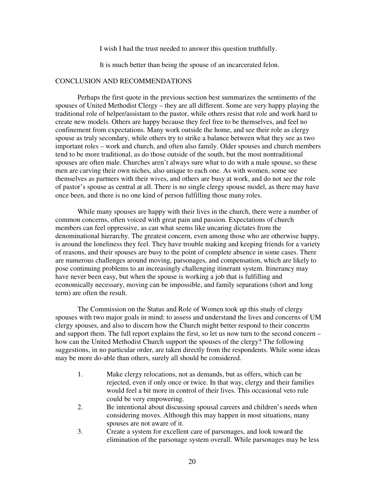I wish I had the trust needed to answer this question truthfully.

It is much better than being the spouse of an incarcerated felon.

## CONCLUSION AND RECOMMENDATIONS

 Perhaps the first quote in the previous section best summarizes the sentiments of the spouses of United Methodist Clergy – they are all different. Some are very happy playing the traditional role of helper/assistant to the pastor, while others resist that role and work hard to create new models. Others are happy because they feel free to be themselves, and feel no confinement from expectations. Many work outside the home, and see their role as clergy spouse as truly secondary, while others try to strike a balance between what they see as two important roles – work and church, and often also family. Older spouses and church members tend to be more traditional, as do those outside of the south, but the most nontraditional spouses are often male. Churches aren't always sure what to do with a male spouse, so these men are carving their own niches, also unique to each one. As with women, some see themselves as partners with their wives, and others are busy at work, and do not see the role of pastor's spouse as central at all. There is no single clergy spouse model, as there may have once been, and there is no one kind of person fulfilling those many roles.

While many spouses are happy with their lives in the church, there were a number of common concerns, often voiced with great pain and passion. Expectations of church members can feel oppressive, as can what seems like uncaring dictates from the denominational hierarchy. The greatest concern, even among those who are otherwise happy, is around the loneliness they feel. They have trouble making and keeping friends for a variety of reasons, and their spouses are busy to the point of complete absence in some cases. There are numerous challenges around moving, parsonages, and compensation, which are likely to pose continuing problems to an increasingly challenging itinerant system. Itinerancy may have never been easy, but when the spouse is working a job that is fulfilling and economically necessary, moving can be impossible, and family separations (short and long term) are often the result.

The Commission on the Status and Role of Women took up this study of clergy spouses with two major goals in mind: to assess and understand the lives and concerns of UM clergy spouses, and also to discern how the Church might better respond to their concerns and support them. The full report explains the first, so let us now turn to the second concern – how can the United Methodist Church support the spouses of the clergy? The following suggestions, in no particular order, are taken directly from the respondents. While some ideas may be more do-able than others, surely all should be considered.

- 1. Make clergy relocations, not as demands, but as offers, which can be rejected, even if only once or twice. In that way, clergy and their families would feel a bit more in control of their lives. This occasional veto rule could be very empowering.
- 2. Be intentional about discussing spousal careers and children's needs when considering moves. Although this may happen in most situations, many spouses are not aware of it.
- 3. Create a system for excellent care of parsonages, and look toward the elimination of the parsonage system overall. While parsonages may be less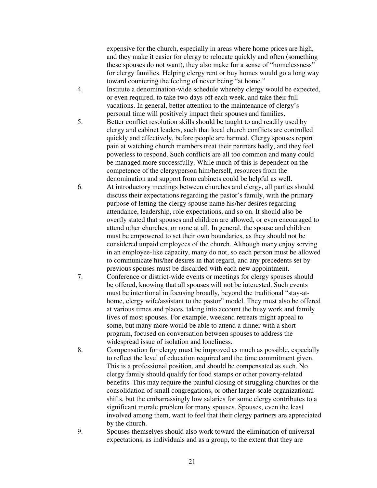expensive for the church, especially in areas where home prices are high, and they make it easier for clergy to relocate quickly and often (something these spouses do not want), they also make for a sense of "homelessness" for clergy families. Helping clergy rent or buy homes would go a long way toward countering the feeling of never being "at home."

- 4. Institute a denomination-wide schedule whereby clergy would be expected, or even required, to take two days off each week, and take their full vacations. In general, better attention to the maintenance of clergy's personal time will positively impact their spouses and families.
- 5. Better conflict resolution skills should be taught to and readily used by clergy and cabinet leaders, such that local church conflicts are controlled quickly and effectively, before people are harmed. Clergy spouses report pain at watching church members treat their partners badly, and they feel powerless to respond. Such conflicts are all too common and many could be managed more successfully. While much of this is dependent on the competence of the clergyperson him/herself, resources from the denomination and support from cabinets could be helpful as well.
- 6. At introductory meetings between churches and clergy, all parties should discuss their expectations regarding the pastor's family, with the primary purpose of letting the clergy spouse name his/her desires regarding attendance, leadership, role expectations, and so on. It should also be overtly stated that spouses and children are allowed, or even encouraged to attend other churches, or none at all. In general, the spouse and children must be empowered to set their own boundaries, as they should not be considered unpaid employees of the church. Although many enjoy serving in an employee-like capacity, many do not, so each person must be allowed to communicate his/her desires in that regard, and any precedents set by previous spouses must be discarded with each new appointment.
- 7. Conference or district-wide events or meetings for clergy spouses should be offered, knowing that all spouses will not be interested. Such events must be intentional in focusing broadly, beyond the traditional "stay-athome, clergy wife/assistant to the pastor" model. They must also be offered at various times and places, taking into account the busy work and family lives of most spouses. For example, weekend retreats might appeal to some, but many more would be able to attend a dinner with a short program, focused on conversation between spouses to address the widespread issue of isolation and loneliness.
- 8. Compensation for clergy must be improved as much as possible, especially to reflect the level of education required and the time commitment given. This is a professional position, and should be compensated as such. No clergy family should qualify for food stamps or other poverty-related benefits. This may require the painful closing of struggling churches or the consolidation of small congregations, or other larger-scale organizational shifts, but the embarrassingly low salaries for some clergy contributes to a significant morale problem for many spouses. Spouses, even the least involved among them, want to feel that their clergy partners are appreciated by the church.
- 9. Spouses themselves should also work toward the elimination of universal expectations, as individuals and as a group, to the extent that they are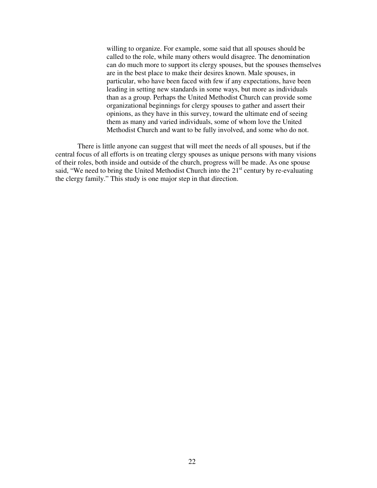willing to organize. For example, some said that all spouses should be called to the role, while many others would disagree. The denomination can do much more to support its clergy spouses, but the spouses themselves are in the best place to make their desires known. Male spouses, in particular, who have been faced with few if any expectations, have been leading in setting new standards in some ways, but more as individuals than as a group. Perhaps the United Methodist Church can provide some organizational beginnings for clergy spouses to gather and assert their opinions, as they have in this survey, toward the ultimate end of seeing them as many and varied individuals, some of whom love the United Methodist Church and want to be fully involved, and some who do not.

There is little anyone can suggest that will meet the needs of all spouses, but if the central focus of all efforts is on treating clergy spouses as unique persons with many visions of their roles, both inside and outside of the church, progress will be made. As one spouse said, "We need to bring the United Methodist Church into the  $21<sup>st</sup>$  century by re-evaluating the clergy family." This study is one major step in that direction.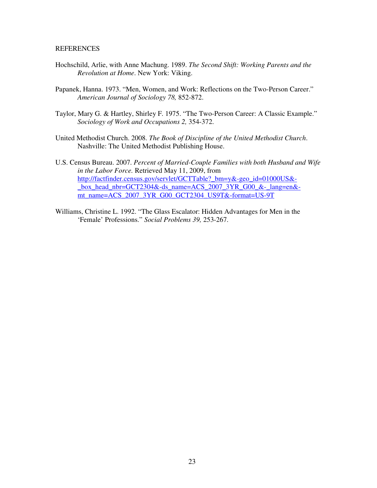## **REFERENCES**

- Hochschild, Arlie, with Anne Machung. 1989. *The Second Shift: Working Parents and the Revolution at Home*. New York: Viking.
- Papanek, Hanna. 1973. "Men, Women, and Work: Reflections on the Two-Person Career." *American Journal of Sociology 78,* 852-872.
- Taylor, Mary G. & Hartley, Shirley F. 1975. "The Two-Person Career: A Classic Example." *Sociology of Work and Occupations 2,* 354-372.
- United Methodist Church. 2008. *The Book of Discipline of the United Methodist Church*. Nashville: The United Methodist Publishing House.
- U.S. Census Bureau. 2007. *Percent of Married-Couple Families with both Husband and Wife in the Labor Force.* Retrieved May 11, 2009, from http://factfinder.census.gov/servlet/GCTTable?\_bm=y&-geo\_id=01000US& box\_head\_nbr=GCT2304&-ds\_name=ACS\_2007\_3YR\_G00\_&-\_lang=en&mt\_name=ACS\_2007\_3YR\_G00\_GCT2304\_US9T&-format=US-9T
- Williams, Christine L. 1992. "The Glass Escalator: Hidden Advantages for Men in the 'Female' Professions." *Social Problems 39,* 253-267.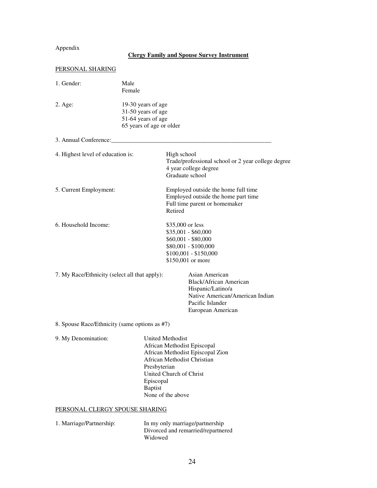# Appendix

# **Clergy Family and Spouse Survey Instrument**

| PERSONAL SHARING                              |                                                                                            |                                                                                                                                                                    |  |  |  |
|-----------------------------------------------|--------------------------------------------------------------------------------------------|--------------------------------------------------------------------------------------------------------------------------------------------------------------------|--|--|--|
| 1. Gender:                                    | Male<br>Female                                                                             |                                                                                                                                                                    |  |  |  |
| $2. \text{Age}$                               | 19-30 years of age<br>31-50 years of age<br>51-64 years of age<br>65 years of age or older |                                                                                                                                                                    |  |  |  |
| 3. Annual Conference:                         |                                                                                            |                                                                                                                                                                    |  |  |  |
| 4. Highest level of education is:             |                                                                                            | High school<br>Trade/professional school or 2 year college degree<br>4 year college degree<br>Graduate school                                                      |  |  |  |
| 5. Current Employment:                        |                                                                                            | Employed outside the home full time<br>Employed outside the home part time<br>Full time parent or homemaker<br>Retired                                             |  |  |  |
| 6. Household Income:                          |                                                                                            | \$35,000 or less<br>\$35,001 - \$60,000<br>$$60,001 - $80,000$<br>\$80,001 - \$100,000<br>$$100,001 - $150,000$<br>\$150,001 or more                               |  |  |  |
| 7. My Race/Ethnicity (select all that apply): |                                                                                            | Asian American<br><b>Black/African American</b><br>Hispanic/Latino/a<br>Native American/American Indian<br>Pacific Islander<br>European American                   |  |  |  |
| 8. Spouse Race/Ethnicity (same options as #7) |                                                                                            |                                                                                                                                                                    |  |  |  |
| 9. My Denomination:                           | Presbyterian<br>Episcopal<br><b>Baptist</b>                                                | United Methodist<br>African Methodist Episcopal<br>African Methodist Episcopal Zion<br>African Methodist Christian<br>United Church of Christ<br>None of the above |  |  |  |
| PERSONAL CLERGY SPOUSE SHARING                |                                                                                            |                                                                                                                                                                    |  |  |  |
| 1. Marriage/Partnership:                      | Widowed                                                                                    | In my only marriage/partnership<br>Divorced and remarried/repartnered                                                                                              |  |  |  |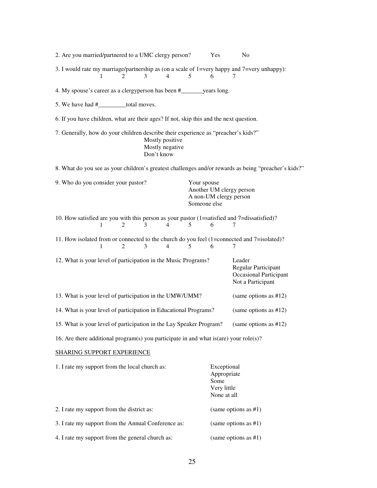| 2. Are you married/partnered to a UMC clergy person?                                             |                |                          |                                    |   | Yes                                                                               | No                                                                                                   |  |  |
|--------------------------------------------------------------------------------------------------|----------------|--------------------------|------------------------------------|---|-----------------------------------------------------------------------------------|------------------------------------------------------------------------------------------------------|--|--|
| 3. I would rate my marriage/partnership as (on a scale of 1=very happy and 7=very unhappy):<br>1 | $\mathfrak{D}$ | 3                        | 4                                  | 5 | 6                                                                                 | 7                                                                                                    |  |  |
| 4. My spouse's career as a clergyperson has been #_______ years long.                            |                |                          |                                    |   |                                                                                   |                                                                                                      |  |  |
| 5. We have had #__________total moves.                                                           |                |                          |                                    |   |                                                                                   |                                                                                                      |  |  |
| 6. If you have children, what are their ages? If not, skip this and the next question.           |                |                          |                                    |   |                                                                                   |                                                                                                      |  |  |
| 7. Generally, how do your children describe their experience as "preacher's kids?"               |                | Don't know               | Mostly positive<br>Mostly negative |   |                                                                                   |                                                                                                      |  |  |
|                                                                                                  |                |                          |                                    |   |                                                                                   | 8. What do you see as your children's greatest challenges and/or rewards as being "preacher's kids?" |  |  |
| 9. Who do you consider your pastor?                                                              |                |                          |                                    |   | Your spouse<br>Another UM clergy person<br>A non-UM clergy person<br>Someone else |                                                                                                      |  |  |
| 10. How satisfied are you with this person as your pastor (1=satisfied and 7=dissatisfied)?      |                |                          |                                    |   |                                                                                   |                                                                                                      |  |  |
| 1                                                                                                | $\mathfrak{D}$ | 3                        | 4                                  | 5 | 6                                                                                 | 7                                                                                                    |  |  |
| 11. How isolated from or connected to the church do you feel (1=connected and 7=isolated)?<br>1  | $\overline{2}$ | 3                        | $\overline{4}$                     | 5 | 6                                                                                 | 7                                                                                                    |  |  |
| 12. What is your level of participation in the Music Programs?                                   |                |                          |                                    |   |                                                                                   | Leader<br><b>Regular Participant</b><br><b>Occasional Participant</b><br>Not a Participant           |  |  |
| 13. What is your level of participation in the UMW/UMM?                                          |                | (same options as $#12$ ) |                                    |   |                                                                                   |                                                                                                      |  |  |
| 14. What is your level of participation in Educational Programs?                                 |                |                          |                                    |   |                                                                                   | (same options as $#12$ )                                                                             |  |  |
| 15. What is your level of participation in the Lay Speaker Program?                              |                |                          |                                    |   |                                                                                   | (same options as #12)                                                                                |  |  |
| 16. Are there additional program(s) you participate in and what is (are) your role(s)?           |                |                          |                                    |   |                                                                                   |                                                                                                      |  |  |
| <b>SHARING SUPPORT EXPERIENCE</b>                                                                |                |                          |                                    |   |                                                                                   |                                                                                                      |  |  |
| 1. I rate my support from the local church as:                                                   |                |                          |                                    |   | Exceptional<br>Appropriate<br>Some<br>Very little<br>None at all                  |                                                                                                      |  |  |
| 2. I rate my support from the district as:                                                       |                |                          |                                    |   | (same options as $#1$ )                                                           |                                                                                                      |  |  |
| 3. I rate my support from the Annual Conference as:                                              |                |                          |                                    |   | (same options as $#1$ )                                                           |                                                                                                      |  |  |
| 4. I rate my support from the general church as:                                                 |                |                          |                                    |   | (same options as $#1$ )                                                           |                                                                                                      |  |  |
|                                                                                                  |                |                          |                                    |   |                                                                                   |                                                                                                      |  |  |